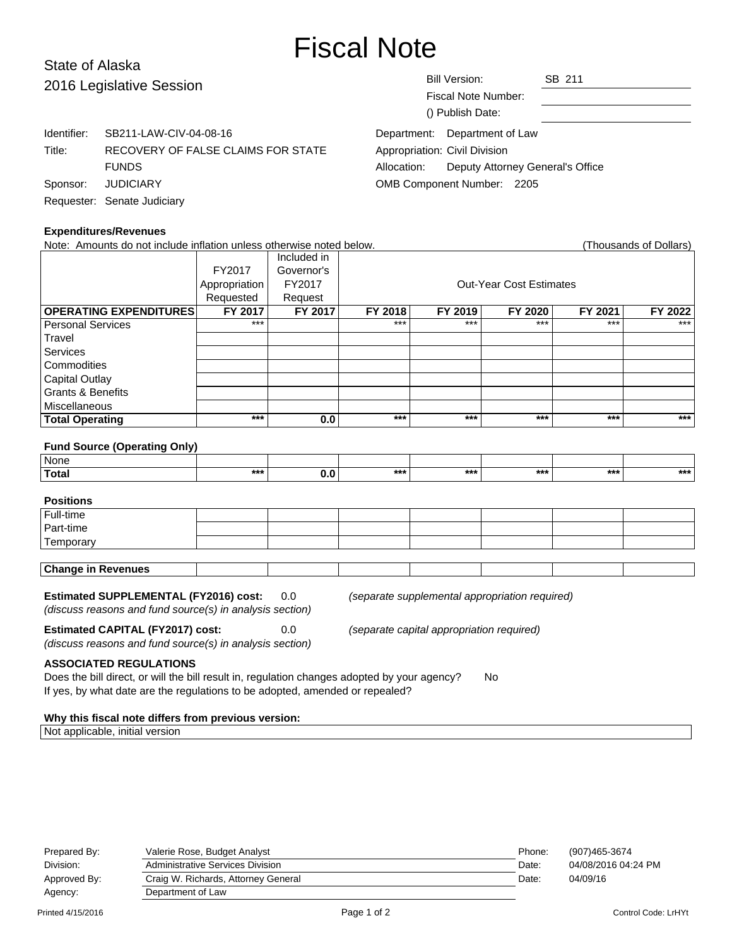# Fiscal Note

## State of Alaska 2016 Legislative Session

| 2016 Legislative Session |                                    | <b>Bill Version:</b><br>Fiscal Note Number:<br>() Publish Date: | SB 211 |
|--------------------------|------------------------------------|-----------------------------------------------------------------|--------|
| Identifier:              | SB211-LAW-CIV-04-08-16             | Department: Department of Law                                   |        |
| Title:                   | RECOVERY OF FALSE CLAIMS FOR STATE | Appropriation: Civil Division                                   |        |
|                          | <b>FUNDS</b>                       | Deputy Attorney General's Office<br>Allocation:                 |        |
| Sponsor:                 | <b>JUDICIARY</b>                   | OMB Component Number: 2205                                      |        |
|                          | Requester: Senate Judiciary        |                                                                 |        |

| <b>FUNDS</b>                |
|-----------------------------|
| Sponsor: JUDICIARY          |
| Requester: Senate Judiciary |
|                             |

## **Expenditures/Revenues**

| Note: Amounts do not include inflation unless otherwise noted below. |               |             |                                |         |         |         | (Thousands of Dollars) |
|----------------------------------------------------------------------|---------------|-------------|--------------------------------|---------|---------|---------|------------------------|
|                                                                      |               | Included in |                                |         |         |         |                        |
|                                                                      | FY2017        | Governor's  |                                |         |         |         |                        |
|                                                                      | Appropriation | FY2017      | <b>Out-Year Cost Estimates</b> |         |         |         |                        |
|                                                                      | Requested     | Request     |                                |         |         |         |                        |
| <b>OPERATING EXPENDITURES</b>                                        | FY 2017       | FY 2017     | FY 2018                        | FY 2019 | FY 2020 | FY 2021 | FY 2022                |
| <b>Personal Services</b>                                             | $***$         |             | $***$                          | $***$   | $***$   | $***$   | $***$                  |
| Travel                                                               |               |             |                                |         |         |         |                        |
| Services                                                             |               |             |                                |         |         |         |                        |
| Commodities                                                          |               |             |                                |         |         |         |                        |
| <b>Capital Outlay</b>                                                |               |             |                                |         |         |         |                        |
| <b>Grants &amp; Benefits</b>                                         |               |             |                                |         |         |         |                        |
| Miscellaneous                                                        |               |             |                                |         |         |         |                        |
| <b>Total Operating</b>                                               | $***$         | 0.0         | ***                            | ***     | $***$   | ***     | $***$                  |

#### **Fund Source (Operating Only)**

| None         |     |     |     |     |     |       |
|--------------|-----|-----|-----|-----|-----|-------|
| <b>Total</b> | *** | *** | *** | *** | *** | $***$ |

| <b>Positions</b>                    |  |  |  |  |
|-------------------------------------|--|--|--|--|
|                                     |  |  |  |  |
|                                     |  |  |  |  |
| Full-time<br>Part-time<br>Temporary |  |  |  |  |
|                                     |  |  |  |  |
| <b>Change in Revenues</b>           |  |  |  |  |
|                                     |  |  |  |  |

**Estimated SUPPLEMENTAL (FY2016) cost:** 0.0 (separate supplemental appropriation required) (discuss reasons and fund source(s) in analysis section)

**Estimated CAPITAL (FY2017) cost:** 0.0 (separate capital appropriation required)

(discuss reasons and fund source(s) in analysis section)

## **ASSOCIATED REGULATIONS**

Does the bill direct, or will the bill result in, regulation changes adopted by your agency? No If yes, by what date are the regulations to be adopted, amended or repealed?

## **Why this fiscal note differs from previous version:**

Not applicable, initial version

| Prepared By: | Valerie Rose, Budget Analyst        | Phone: | (907)465-3674       |
|--------------|-------------------------------------|--------|---------------------|
| Division:    | Administrative Services Division    | Date:  | 04/08/2016 04:24 PM |
| Approved By: | Craig W. Richards, Attorney General | Date:  | 04/09/16            |
| Agency:      | Department of Law                   |        |                     |